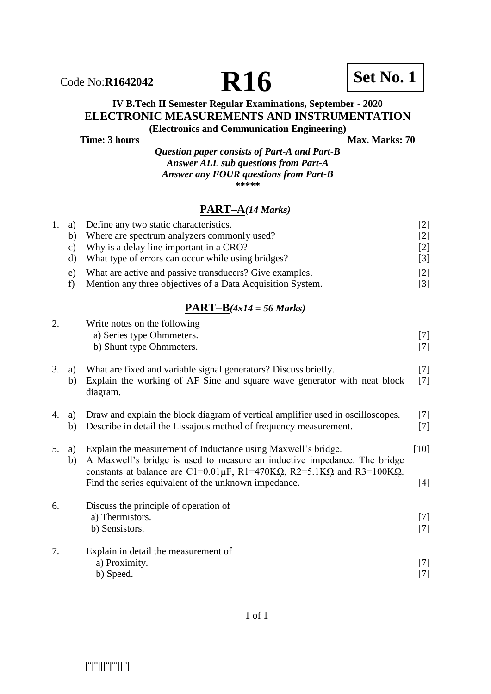

# **IV B.Tech II Semester Regular Examinations, September - 2020 ELECTRONIC MEASUREMENTS AND INSTRUMENTATION**

**(Electronics and Communication Engineering) Time: 3 hours** Max. Marks: 70

> *Question paper consists of Part-A and Part-B Answer ALL sub questions from Part-A Answer any FOUR questions from Part-B*  **\*\*\*\*\***

### **PART–A***(14 Marks)*

| 1. | a)            | Define any two static characteristics.                                               | $[2]$  |
|----|---------------|--------------------------------------------------------------------------------------|--------|
|    | b)            | Where are spectrum analyzers commonly used?                                          | $[2]$  |
|    | $\mathbf{c})$ | Why is a delay line important in a CRO?                                              | $[2]$  |
|    | $\mathbf{d}$  | What type of errors can occur while using bridges?                                   | $[3]$  |
|    | e)            | What are active and passive transducers? Give examples.                              | $[2]$  |
|    | f)            | Mention any three objectives of a Data Acquisition System.                           | $[3]$  |
|    |               | $\overline{PART-B}(4x14=56 Marks)$                                                   |        |
| 2. |               | Write notes on the following                                                         |        |
|    |               | a) Series type Ohmmeters.                                                            | $[7]$  |
|    |               | b) Shunt type Ohmmeters.                                                             | $[7]$  |
| 3. | a)            | What are fixed and variable signal generators? Discuss briefly.                      | $[7]$  |
|    | b)            | Explain the working of AF Sine and square wave generator with neat block<br>diagram. | $[7]$  |
| 4. | a)            | Draw and explain the block diagram of vertical amplifier used in oscilloscopes.      | $[7]$  |
|    | b)            | Describe in detail the Lissajous method of frequency measurement.                    | $[7]$  |
| 5. | a)            | Explain the measurement of Inductance using Maxwell's bridge.                        | $[10]$ |
|    | b)            | A Maxwell's bridge is used to measure an inductive impedance. The bridge             |        |
|    |               | constants at balance are C1=0.01 $\mu$ F, R1=470KQ, R2=5.1KQ and R3=100KQ.           |        |
|    |               | Find the series equivalent of the unknown impedance.                                 | $[4]$  |
| 6. |               | Discuss the principle of operation of                                                |        |
|    |               | a) Thermistors.                                                                      | $[7]$  |
|    |               | b) Sensistors.                                                                       | $[7]$  |
| 7. |               | Explain in detail the measurement of                                                 |        |
|    |               | a) Proximity.                                                                        | $[7]$  |
|    |               | b) Speed.                                                                            | $[7]$  |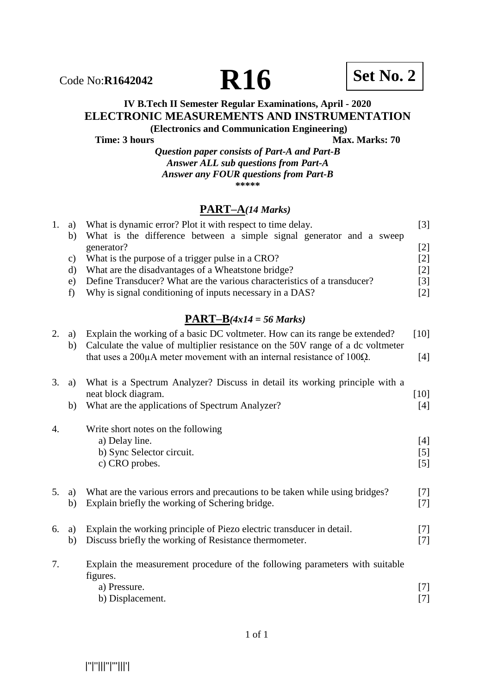

### **IV B.Tech II Semester Regular Examinations, April - 2020 ELECTRONIC MEASUREMENTS AND INSTRUMENTATION**

**(Electronics and Communication Engineering) Time: 3 hours Max. Marks: 70** 

*Question paper consists of Part-A and Part-B Answer ALL sub questions from Part-A Answer any FOUR questions from Part-B* **\*\*\*\*\***

#### **PART–A***(14 Marks)*

| 1. | a)<br>b) | What is dynamic error? Plot it with respect to time delay.<br>What is the difference between a simple signal generator and a sweep | $[3]$  |
|----|----------|------------------------------------------------------------------------------------------------------------------------------------|--------|
|    |          | generator?                                                                                                                         | $[2]$  |
|    | c)       | What is the purpose of a trigger pulse in a CRO?                                                                                   | $[2]$  |
|    | $\rm d$  | What are the disadvantages of a Wheatstone bridge?                                                                                 | $[2]$  |
|    | e)       | Define Transducer? What are the various characteristics of a transducer?                                                           | $[3]$  |
|    | f)       | Why is signal conditioning of inputs necessary in a DAS?                                                                           | $[2]$  |
|    |          | $PART-B(4x14 = 56 Marks)$                                                                                                          |        |
| 2. | a)       | Explain the working of a basic DC voltmeter. How can its range be extended?                                                        | $[10]$ |
|    | b)       | Calculate the value of multiplier resistance on the 50V range of a dc voltmeter                                                    |        |
|    |          | that uses a $200\mu A$ meter movement with an internal resistance of 100 $\Omega$ .                                                | $[4]$  |
| 3. | a)       | What is a Spectrum Analyzer? Discuss in detail its working principle with a                                                        |        |
|    |          | neat block diagram.                                                                                                                | $[10]$ |
|    | b)       | What are the applications of Spectrum Analyzer?                                                                                    | $[4]$  |
|    |          |                                                                                                                                    |        |
| 4. |          | Write short notes on the following                                                                                                 |        |
|    |          | a) Delay line.                                                                                                                     | $[4]$  |
|    |          | b) Sync Selector circuit.                                                                                                          | [5]    |
|    |          | c) CRO probes.                                                                                                                     | [5]    |
| 5. | a)       | What are the various errors and precautions to be taken while using bridges?                                                       | $[7]$  |
|    | b)       | Explain briefly the working of Schering bridge.                                                                                    | $[7]$  |
|    |          |                                                                                                                                    |        |
| 6. | a)       | Explain the working principle of Piezo electric transducer in detail.                                                              | $[7]$  |
|    | b)       | Discuss briefly the working of Resistance thermometer.                                                                             | $[7]$  |
| 7. |          | Explain the measurement procedure of the following parameters with suitable                                                        |        |
|    |          | figures.                                                                                                                           |        |
|    |          | a) Pressure.                                                                                                                       | $[7]$  |
|    |          | b) Displacement.                                                                                                                   | $[7]$  |

|''|''|||''|'''|||'|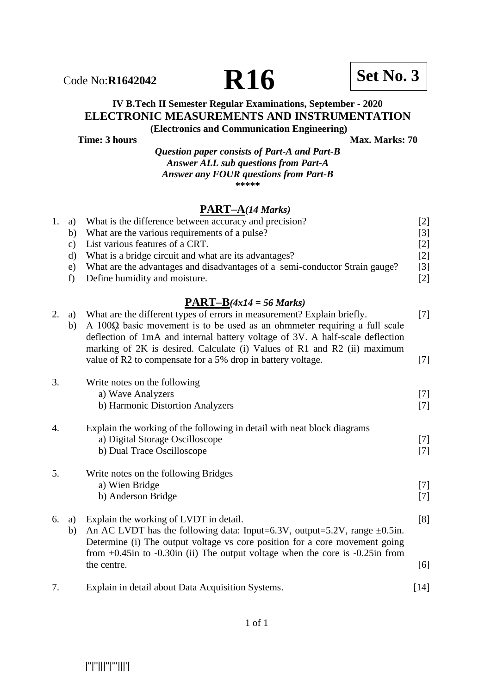

## **IV B.Tech II Semester Regular Examinations, September - 2020 ELECTRONIC MEASUREMENTS AND INSTRUMENTATION**

**(Electronics and Communication Engineering) Time: 3 hours** Max. Marks: 70

> *Question paper consists of Part-A and Part-B Answer ALL sub questions from Part-A Answer any FOUR questions from Part-B* **\*\*\*\*\***

### **PART–A***(14 Marks)*

| 1. | a) | What is the difference between accuracy and precision?                      | [2]               |
|----|----|-----------------------------------------------------------------------------|-------------------|
|    | b) | What are the various requirements of a pulse?                               | $\lceil 3 \rceil$ |
|    | C) | List various features of a CRT.                                             | $\lceil 2 \rceil$ |
|    |    | What is a bridge circuit and what are its advantages?                       | $\lceil 2 \rceil$ |
|    | e) | What are the advantages and disadvantages of a semi-conductor Strain gauge? | $\lceil 3 \rceil$ |
|    | f) | Define humidity and moisture.                                               | $\lceil 2 \rceil$ |
|    |    |                                                                             |                   |

#### **PART–B***(4x14 = 56 Marks)*

| 2. | a)<br>b) | What are the different types of errors in measurement? Explain briefly.<br>$A$ 100 $\Omega$ basic movement is to be used as an ohmmeter requiring a full scale<br>deflection of 1mA and internal battery voltage of 3V. A half-scale deflection<br>marking of 2K is desired. Calculate (i) Values of R1 and R2 (ii) maximum | $[7]$          |
|----|----------|-----------------------------------------------------------------------------------------------------------------------------------------------------------------------------------------------------------------------------------------------------------------------------------------------------------------------------|----------------|
|    |          | value of R2 to compensate for a 5% drop in battery voltage.                                                                                                                                                                                                                                                                 | $[7]$          |
| 3. |          | Write notes on the following<br>a) Wave Analyzers<br>b) Harmonic Distortion Analyzers                                                                                                                                                                                                                                       | $[7]$<br>$[7]$ |
| 4. |          | Explain the working of the following in detail with neat block diagrams<br>a) Digital Storage Oscilloscope<br>b) Dual Trace Oscilloscope                                                                                                                                                                                    | $[7]$<br>$[7]$ |
| 5. |          | Write notes on the following Bridges<br>a) Wien Bridge<br>b) Anderson Bridge                                                                                                                                                                                                                                                | $[7]$<br>$[7]$ |
| 6. | a)<br>b) | Explain the working of LVDT in detail.<br>An AC LVDT has the following data: Input=6.3V, output=5.2V, range $\pm 0.5$ in.<br>Determine (i) The output voltage vs core position for a core movement going<br>from $+0.45$ in to $-0.30$ in (ii) The output voltage when the core is $-0.25$ in from                          | [8]            |
|    |          | the centre.                                                                                                                                                                                                                                                                                                                 | [6]            |
| 7. |          | Explain in detail about Data Acquisition Systems.                                                                                                                                                                                                                                                                           | $[14]$         |

1 of 1